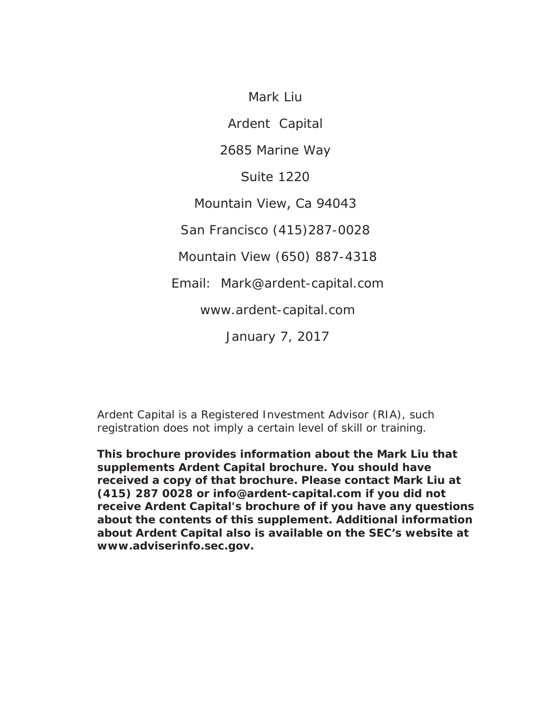Mark Liu Ardent Capital 2685 Marine Way Suite 1220 Mountain View, Ca 94043 San Francisco (415)287-0028 Mountain View (650) 887-4318 Email: Mark@ardent-capital.com www.ardent-capital.com January 7, 2017

Ardent Capital is a Registered Investment Advisor (RIA), such registration does not imply a certain level of skill or training.

**This brochure provides information about the Mark Liu that supplements Ardent Capital brochure. You should have received a copy of that brochure. Please contact Mark Liu at (415) 287 0028 or info@ardent-capital.com if you did not receive Ardent Capital's brochure of if you have any questions about the contents of this supplement. Additional information about Ardent Capital also is available on the SEC's website at www.adviserinfo.sec.gov.**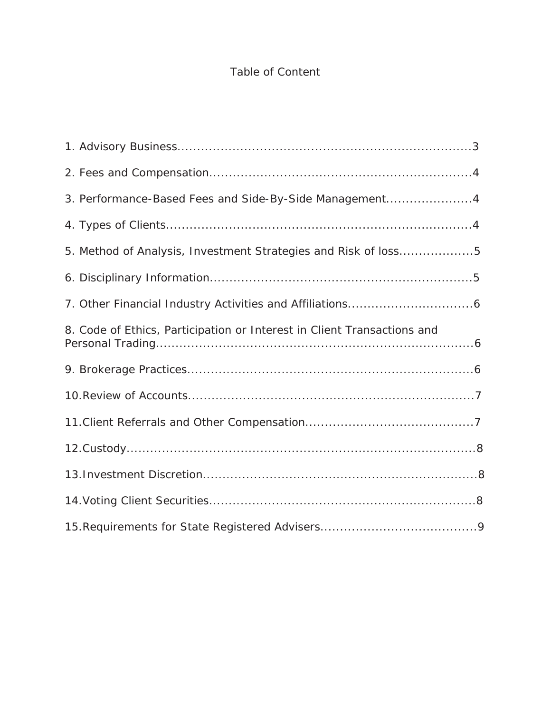# Table of Content

| 3. Performance-Based Fees and Side-By-Side Management4                  |
|-------------------------------------------------------------------------|
|                                                                         |
| 5. Method of Analysis, Investment Strategies and Risk of loss5          |
|                                                                         |
|                                                                         |
| 8. Code of Ethics, Participation or Interest in Client Transactions and |
|                                                                         |
|                                                                         |
|                                                                         |
|                                                                         |
|                                                                         |
|                                                                         |
|                                                                         |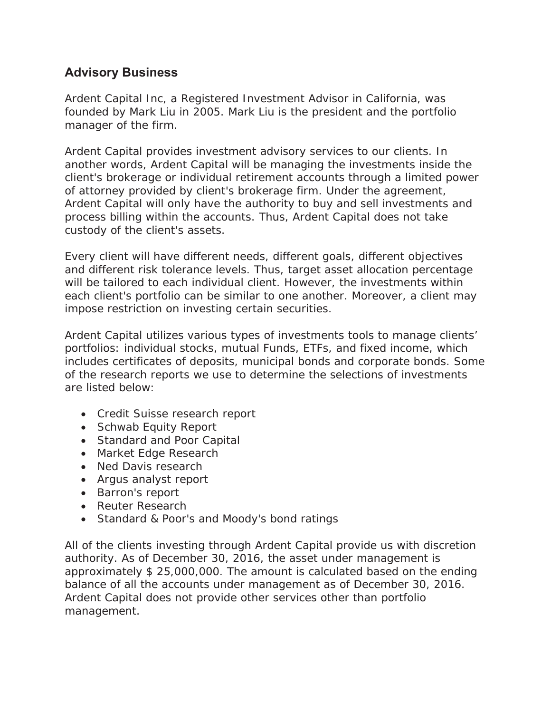## **Advisory Business**

Ardent Capital Inc, a Registered Investment Advisor in California, was founded by Mark Liu in 2005. Mark Liu is the president and the portfolio manager of the firm.

Ardent Capital provides investment advisory services to our clients. In another words, Ardent Capital will be managing the investments inside the client's brokerage or individual retirement accounts through a limited power of attorney provided by client's brokerage firm. Under the agreement, Ardent Capital will only have the authority to buy and sell investments and process billing within the accounts. Thus, Ardent Capital does not take custody of the client's assets.

Every client will have different needs, different goals, different objectives and different risk tolerance levels. Thus, target asset allocation percentage will be tailored to each individual client. However, the investments within each client's portfolio can be similar to one another. Moreover, a client may impose restriction on investing certain securities.

Ardent Capital utilizes various types of investments tools to manage clients' portfolios: individual stocks, mutual Funds, ETFs, and fixed income, which includes certificates of deposits, municipal bonds and corporate bonds. Some of the research reports we use to determine the selections of investments are listed below:

- Credit Suisse research report
- Schwab Equity Report
- Standard and Poor Capital
- Market Edge Research
- Ned Davis research
- Argus analyst report
- Barron's report
- Reuter Research
- Standard & Poor's and Moody's bond ratings

All of the clients investing through Ardent Capital provide us with discretion authority. As of December 30, 2016, the asset under management is approximately \$ 25,000,000. The amount is calculated based on the ending balance of all the accounts under management as of December 30, 2016. Ardent Capital does not provide other services other than portfolio management.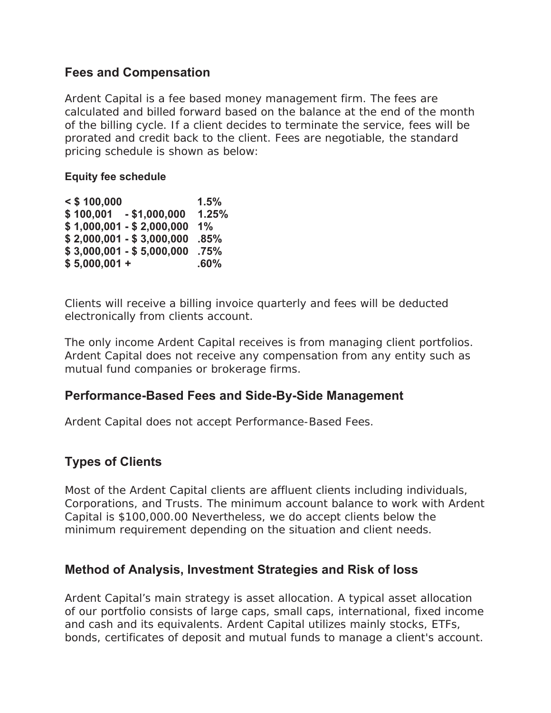#### **Fees and Compensation**

Ardent Capital is a fee based money management firm. The fees are calculated and billed forward based on the balance at the end of the month of the billing cycle. If a client decides to terminate the service, fees will be prorated and credit back to the client. Fees are negotiable, the standard pricing schedule is shown as below:

#### **Equity fee schedule**

| $<$ \$ 100,000 |                           | 1.5%  |
|----------------|---------------------------|-------|
| \$100,001      | $-$ \$1,000,000           | 1.25% |
|                | $$1,000,001 - $2,000,000$ | 1%    |
|                | $$2,000,001 - $3,000,000$ | .85%  |
|                | $$3,000,001 - $5,000,000$ | .75%  |
| $$5,000,001 +$ |                           | .60%  |

Clients will receive a billing invoice quarterly and fees will be deducted electronically from clients account.

The only income Ardent Capital receives is from managing client portfolios. Ardent Capital does not receive any compensation from any entity such as mutual fund companies or brokerage firms.

### **Performance-Based Fees and Side-By-Side Management**

Ardent Capital does not accept Performance-Based Fees.

# **Types of Clients**

Most of the Ardent Capital clients are affluent clients including individuals, Corporations, and Trusts. The minimum account balance to work with Ardent Capital is \$100,000.00 Nevertheless, we do accept clients below the minimum requirement depending on the situation and client needs.

#### **Method of Analysis, Investment Strategies and Risk of loss**

Ardent Capital's main strategy is asset allocation. A typical asset allocation of our portfolio consists of large caps, small caps, international, fixed income and cash and its equivalents. Ardent Capital utilizes mainly stocks, ETFs, bonds, certificates of deposit and mutual funds to manage a client's account.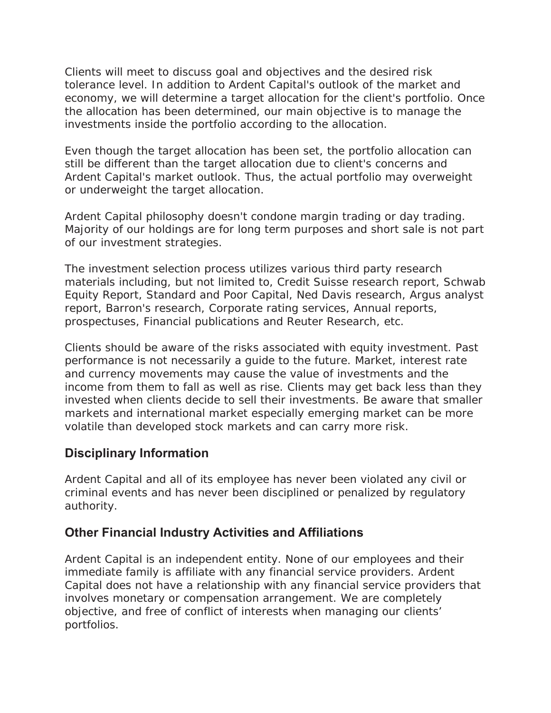Clients will meet to discuss goal and objectives and the desired risk tolerance level. In addition to Ardent Capital's outlook of the market and economy, we will determine a target allocation for the client's portfolio. Once the allocation has been determined, our main objective is to manage the investments inside the portfolio according to the allocation.

Even though the target allocation has been set, the portfolio allocation can still be different than the target allocation due to client's concerns and Ardent Capital's market outlook. Thus, the actual portfolio may overweight or underweight the target allocation.

Ardent Capital philosophy doesn't condone margin trading or day trading. Majority of our holdings are for long term purposes and short sale is not part of our investment strategies.

The investment selection process utilizes various third party research materials including, but not limited to, Credit Suisse research report, Schwab Equity Report, Standard and Poor Capital, Ned Davis research, Argus analyst report, Barron's research, Corporate rating services, Annual reports, prospectuses, Financial publications and Reuter Research, etc.

Clients should be aware of the risks associated with equity investment. Past performance is not necessarily a guide to the future. Market, interest rate and currency movements may cause the value of investments and the income from them to fall as well as rise. Clients may get back less than they invested when clients decide to sell their investments. Be aware that smaller markets and international market especially emerging market can be more volatile than developed stock markets and can carry more risk.

### **Disciplinary Information**

Ardent Capital and all of its employee has never been violated any civil or criminal events and has never been disciplined or penalized by regulatory authority.

### **Other Financial Industry Activities and Affiliations**

Ardent Capital is an independent entity. None of our employees and their immediate family is affiliate with any financial service providers. Ardent Capital does not have a relationship with any financial service providers that involves monetary or compensation arrangement. We are completely objective, and free of conflict of interests when managing our clients' portfolios.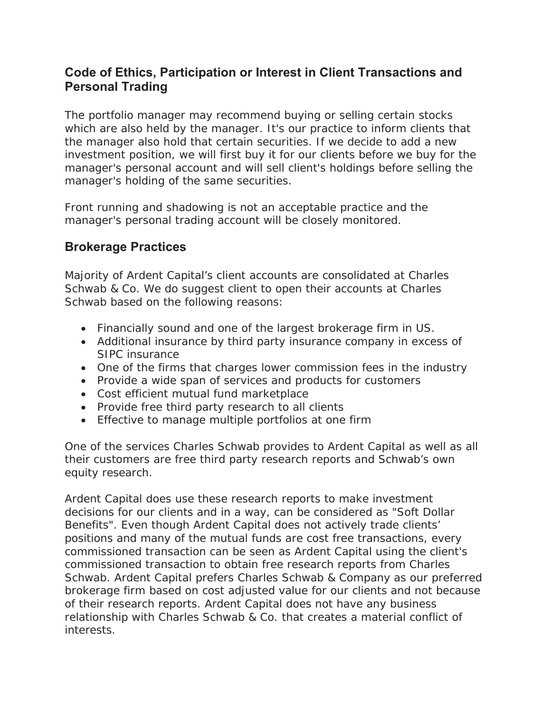# **Code of Ethics, Participation or Interest in Client Transactions and Personal Trading**

The portfolio manager may recommend buying or selling certain stocks which are also held by the manager. It's our practice to inform clients that the manager also hold that certain securities. If we decide to add a new investment position, we will first buy it for our clients before we buy for the manager's personal account and will sell client's holdings before selling the manager's holding of the same securities.

Front running and shadowing is not an acceptable practice and the manager's personal trading account will be closely monitored.

# **Brokerage Practices**

Majority of Ardent Capital's client accounts are consolidated at Charles Schwab & Co. We do suggest client to open their accounts at Charles Schwab based on the following reasons:

- Financially sound and one of the largest brokerage firm in US.
- Additional insurance by third party insurance company in excess of SIPC insurance
- One of the firms that charges lower commission fees in the industry
- Provide a wide span of services and products for customers
- Cost efficient mutual fund marketplace
- Provide free third party research to all clients
- Effective to manage multiple portfolios at one firm

One of the services Charles Schwab provides to Ardent Capital as well as all their customers are free third party research reports and Schwab's own equity research.

Ardent Capital does use these research reports to make investment decisions for our clients and in a way, can be considered as "Soft Dollar Benefits". Even though Ardent Capital does not actively trade clients' positions and many of the mutual funds are cost free transactions, every commissioned transaction can be seen as Ardent Capital using the client's commissioned transaction to obtain free research reports from Charles Schwab. Ardent Capital prefers Charles Schwab & Company as our preferred brokerage firm based on cost adjusted value for our clients and not because of their research reports. Ardent Capital does not have any business relationship with Charles Schwab & Co. that creates a material conflict of interests.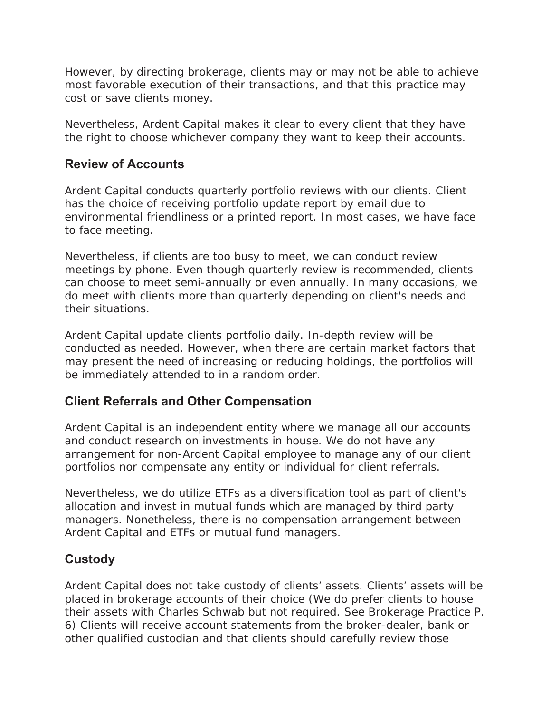However, by directing brokerage, clients may or may not be able to achieve most favorable execution of their transactions, and that this practice may cost or save clients money.

Nevertheless, Ardent Capital makes it clear to every client that they have the right to choose whichever company they want to keep their accounts.

### **Review of Accounts**

Ardent Capital conducts quarterly portfolio reviews with our clients. Client has the choice of receiving portfolio update report by email due to environmental friendliness or a printed report. In most cases, we have face to face meeting.

Nevertheless, if clients are too busy to meet, we can conduct review meetings by phone. Even though quarterly review is recommended, clients can choose to meet semi-annually or even annually. In many occasions, we do meet with clients more than quarterly depending on client's needs and their situations.

Ardent Capital update clients portfolio daily. In-depth review will be conducted as needed. However, when there are certain market factors that may present the need of increasing or reducing holdings, the portfolios will be immediately attended to in a random order.

# **Client Referrals and Other Compensation**

Ardent Capital is an independent entity where we manage all our accounts and conduct research on investments in house. We do not have any arrangement for non-Ardent Capital employee to manage any of our client portfolios nor compensate any entity or individual for client referrals.

Nevertheless, we do utilize ETFs as a diversification tool as part of client's allocation and invest in mutual funds which are managed by third party managers. Nonetheless, there is no compensation arrangement between Ardent Capital and ETFs or mutual fund managers.

# **Custody**

Ardent Capital does not take custody of clients' assets. Clients' assets will be placed in brokerage accounts of their choice (We do prefer clients to house their assets with Charles Schwab but not required. See Brokerage Practice P. 6) Clients will receive account statements from the broker-dealer, bank or other qualified custodian and that clients should carefully review those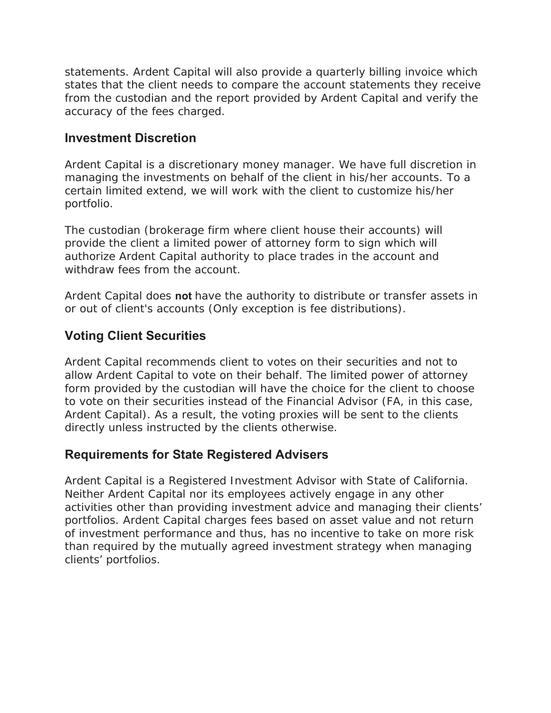statements. Ardent Capital will also provide a quarterly billing invoice which states that the client needs to compare the account statements they receive from the custodian and the report provided by Ardent Capital and verify the accuracy of the fees charged.

#### **Investment Discretion**

Ardent Capital is a discretionary money manager. We have full discretion in managing the investments on behalf of the client in his/her accounts. To a certain limited extend, we will work with the client to customize his/her portfolio.

The custodian (brokerage firm where client house their accounts) will provide the client a limited power of attorney form to sign which will authorize Ardent Capital authority to place trades in the account and withdraw fees from the account.

Ardent Capital does **not** have the authority to distribute or transfer assets in or out of client's accounts (Only exception is fee distributions).

# **Voting Client Securities**

Ardent Capital recommends client to votes on their securities and not to allow Ardent Capital to vote on their behalf. The limited power of attorney form provided by the custodian will have the choice for the client to choose to vote on their securities instead of the Financial Advisor (FA, in this case, Ardent Capital). As a result, the voting proxies will be sent to the clients directly unless instructed by the clients otherwise.

### **Requirements for State Registered Advisers**

Ardent Capital is a Registered Investment Advisor with State of California. Neither Ardent Capital nor its employees actively engage in any other activities other than providing investment advice and managing their clients' portfolios. Ardent Capital charges fees based on asset value and not return of investment performance and thus, has no incentive to take on more risk than required by the mutually agreed investment strategy when managing clients' portfolios.